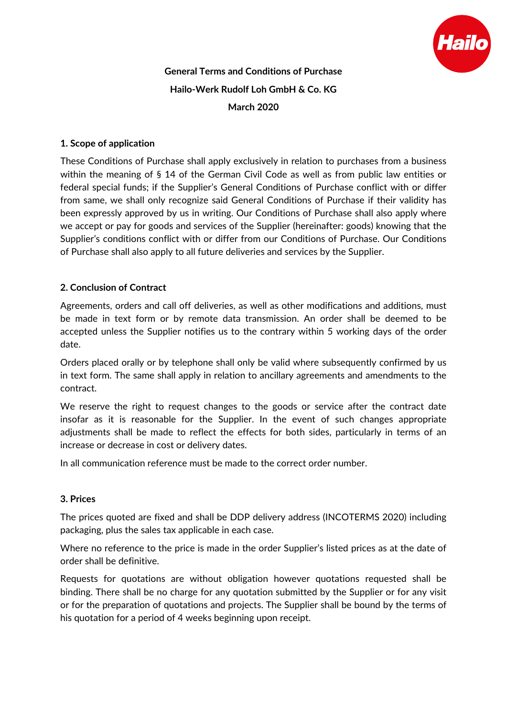

# **General Terms and Conditions of Purchase Hailo-Werk Rudolf Loh GmbH & Co. KG March 2020**

## **1. Scope of application**

These Conditions of Purchase shall apply exclusively in relation to purchases from a business within the meaning of § 14 of the German Civil Code as well as from public law entities or federal special funds; if the Supplier's General Conditions of Purchase conflict with or differ from same, we shall only recognize said General Conditions of Purchase if their validity has been expressly approved by us in writing. Our Conditions of Purchase shall also apply where we accept or pay for goods and services of the Supplier (hereinafter: goods) knowing that the Supplier's conditions conflict with or differ from our Conditions of Purchase. Our Conditions of Purchase shall also apply to all future deliveries and services by the Supplier.

## **2. Conclusion of Contract**

Agreements, orders and call off deliveries, as well as other modifications and additions, must be made in text form or by remote data transmission. An order shall be deemed to be accepted unless the Supplier notifies us to the contrary within 5 working days of the order date.

Orders placed orally or by telephone shall only be valid where subsequently confirmed by us in text form. The same shall apply in relation to ancillary agreements and amendments to the contract.

We reserve the right to request changes to the goods or service after the contract date insofar as it is reasonable for the Supplier. In the event of such changes appropriate adjustments shall be made to reflect the effects for both sides, particularly in terms of an increase or decrease in cost or delivery dates.

In all communication reference must be made to the correct order number.

#### **3. Prices**

The prices quoted are fixed and shall be DDP delivery address (INCOTERMS 2020) including packaging, plus the sales tax applicable in each case.

Where no reference to the price is made in the order Supplier's listed prices as at the date of order shall be definitive.

Requests for quotations are without obligation however quotations requested shall be binding. There shall be no charge for any quotation submitted by the Supplier or for any visit or for the preparation of quotations and projects. The Supplier shall be bound by the terms of his quotation for a period of 4 weeks beginning upon receipt.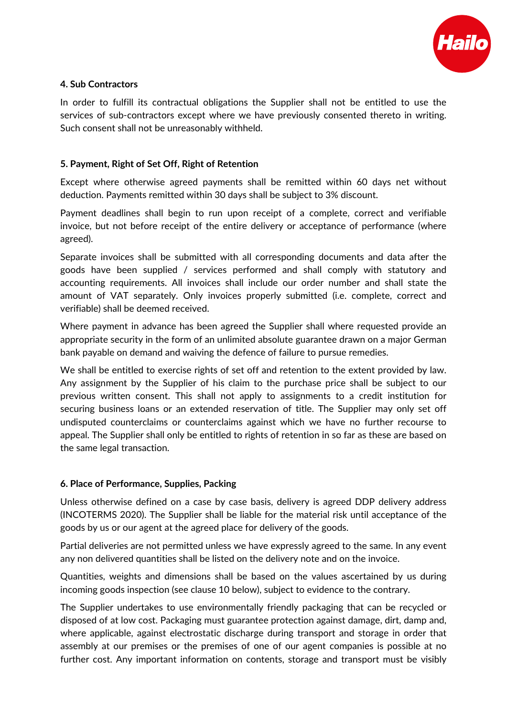

## **4. Sub Contractors**

In order to fulfill its contractual obligations the Supplier shall not be entitled to use the services of sub-contractors except where we have previously consented thereto in writing. Such consent shall not be unreasonably withheld.

#### **5. Payment, Right of Set Off, Right of Retention**

Except where otherwise agreed payments shall be remitted within 60 days net without deduction. Payments remitted within 30 days shall be subject to 3% discount.

Payment deadlines shall begin to run upon receipt of a complete, correct and verifiable invoice, but not before receipt of the entire delivery or acceptance of performance (where agreed).

Separate invoices shall be submitted with all corresponding documents and data after the goods have been supplied / services performed and shall comply with statutory and accounting requirements. All invoices shall include our order number and shall state the amount of VAT separately. Only invoices properly submitted (i.e. complete, correct and verifiable) shall be deemed received.

Where payment in advance has been agreed the Supplier shall where requested provide an appropriate security in the form of an unlimited absolute guarantee drawn on a major German bank payable on demand and waiving the defence of failure to pursue remedies.

We shall be entitled to exercise rights of set off and retention to the extent provided by law. Any assignment by the Supplier of his claim to the purchase price shall be subject to our previous written consent. This shall not apply to assignments to a credit institution for securing business loans or an extended reservation of title. The Supplier may only set off undisputed counterclaims or counterclaims against which we have no further recourse to appeal. The Supplier shall only be entitled to rights of retention in so far as these are based on the same legal transaction.

#### **6. Place of Performance, Supplies, Packing**

Unless otherwise defined on a case by case basis, delivery is agreed DDP delivery address (INCOTERMS 2020). The Supplier shall be liable for the material risk until acceptance of the goods by us or our agent at the agreed place for delivery of the goods.

Partial deliveries are not permitted unless we have expressly agreed to the same. In any event any non delivered quantities shall be listed on the delivery note and on the invoice.

Quantities, weights and dimensions shall be based on the values ascertained by us during incoming goods inspection (see clause 10 below), subject to evidence to the contrary.

The Supplier undertakes to use environmentally friendly packaging that can be recycled or disposed of at low cost. Packaging must guarantee protection against damage, dirt, damp and, where applicable, against electrostatic discharge during transport and storage in order that assembly at our premises or the premises of one of our agent companies is possible at no further cost. Any important information on contents, storage and transport must be visibly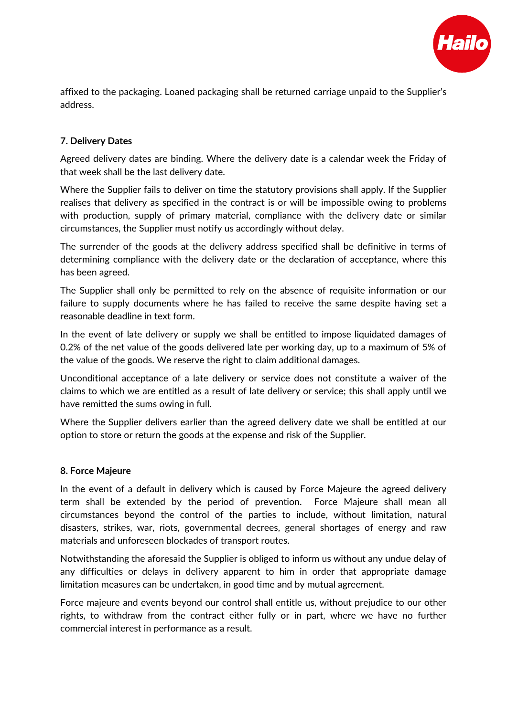

affixed to the packaging. Loaned packaging shall be returned carriage unpaid to the Supplier's address.

# **7. Delivery Dates**

Agreed delivery dates are binding. Where the delivery date is a calendar week the Friday of that week shall be the last delivery date.

Where the Supplier fails to deliver on time the statutory provisions shall apply. If the Supplier realises that delivery as specified in the contract is or will be impossible owing to problems with production, supply of primary material, compliance with the delivery date or similar circumstances, the Supplier must notify us accordingly without delay.

The surrender of the goods at the delivery address specified shall be definitive in terms of determining compliance with the delivery date or the declaration of acceptance, where this has been agreed.

The Supplier shall only be permitted to rely on the absence of requisite information or our failure to supply documents where he has failed to receive the same despite having set a reasonable deadline in text form.

In the event of late delivery or supply we shall be entitled to impose liquidated damages of 0.2% of the net value of the goods delivered late per working day, up to a maximum of 5% of the value of the goods. We reserve the right to claim additional damages.

Unconditional acceptance of a late delivery or service does not constitute a waiver of the claims to which we are entitled as a result of late delivery or service; this shall apply until we have remitted the sums owing in full.

Where the Supplier delivers earlier than the agreed delivery date we shall be entitled at our option to store or return the goods at the expense and risk of the Supplier.

#### **8. Force Majeure**

In the event of a default in delivery which is caused by Force Majeure the agreed delivery term shall be extended by the period of prevention. Force Majeure shall mean all circumstances beyond the control of the parties to include, without limitation, natural disasters, strikes, war, riots, governmental decrees, general shortages of energy and raw materials and unforeseen blockades of transport routes.

Notwithstanding the aforesaid the Supplier is obliged to inform us without any undue delay of any difficulties or delays in delivery apparent to him in order that appropriate damage limitation measures can be undertaken, in good time and by mutual agreement.

Force majeure and events beyond our control shall entitle us, without prejudice to our other rights, to withdraw from the contract either fully or in part, where we have no further commercial interest in performance as a result.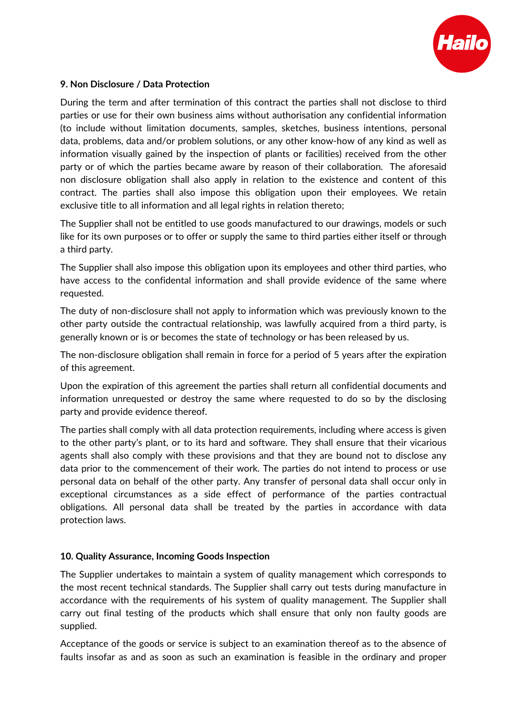

## **9. Non Disclosure / Data Protection**

During the term and after termination of this contract the parties shall not disclose to third parties or use for their own business aims without authorisation any confidential information (to include without limitation documents, samples, sketches, business intentions, personal data, problems, data and/or problem solutions, or any other know-how of any kind as well as information visually gained by the inspection of plants or facilities) received from the other party or of which the parties became aware by reason of their collaboration. The aforesaid non disclosure obligation shall also apply in relation to the existence and content of this contract. The parties shall also impose this obligation upon their employees. We retain exclusive title to all information and all legal rights in relation thereto;

The Supplier shall not be entitled to use goods manufactured to our drawings, models or such like for its own purposes or to offer or supply the same to third parties either itself or through a third party.

The Supplier shall also impose this obligation upon its employees and other third parties, who have access to the confidental information and shall provide evidence of the same where requested.

The duty of non-disclosure shall not apply to information which was previously known to the other party outside the contractual relationship, was lawfully acquired from a third party, is generally known or is or becomes the state of technology or has been released by us.

The non-disclosure obligation shall remain in force for a period of 5 years after the expiration of this agreement.

Upon the expiration of this agreement the parties shall return all confidential documents and information unrequested or destroy the same where requested to do so by the disclosing party and provide evidence thereof.

The parties shall comply with all data protection requirements, including where access is given to the other party's plant, or to its hard and software. They shall ensure that their vicarious agents shall also comply with these provisions and that they are bound not to disclose any data prior to the commencement of their work. The parties do not intend to process or use personal data on behalf of the other party. Any transfer of personal data shall occur only in exceptional circumstances as a side effect of performance of the parties contractual obligations. All personal data shall be treated by the parties in accordance with data protection laws.

## **10. Quality Assurance, Incoming Goods Inspection**

The Supplier undertakes to maintain a system of quality management which corresponds to the most recent technical standards. The Supplier shall carry out tests during manufacture in accordance with the requirements of his system of quality management. The Supplier shall carry out final testing of the products which shall ensure that only non faulty goods are supplied.

Acceptance of the goods or service is subject to an examination thereof as to the absence of faults insofar as and as soon as such an examination is feasible in the ordinary and proper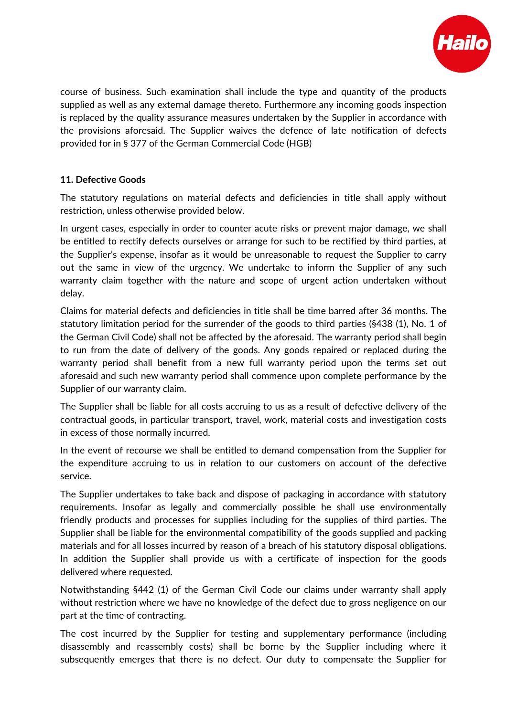

course of business. Such examination shall include the type and quantity of the products supplied as well as any external damage thereto. Furthermore any incoming goods inspection is replaced by the quality assurance measures undertaken by the Supplier in accordance with the provisions aforesaid. The Supplier waives the defence of late notification of defects provided for in § 377 of the German Commercial Code (HGB)

# **11. Defective Goods**

The statutory regulations on material defects and deficiencies in title shall apply without restriction, unless otherwise provided below.

In urgent cases, especially in order to counter acute risks or prevent major damage, we shall be entitled to rectify defects ourselves or arrange for such to be rectified by third parties, at the Supplier's expense, insofar as it would be unreasonable to request the Supplier to carry out the same in view of the urgency. We undertake to inform the Supplier of any such warranty claim together with the nature and scope of urgent action undertaken without delay.

Claims for material defects and deficiencies in title shall be time barred after 36 months. The statutory limitation period for the surrender of the goods to third parties (§438 (1), No. 1 of the German Civil Code) shall not be affected by the aforesaid. The warranty period shall begin to run from the date of delivery of the goods. Any goods repaired or replaced during the warranty period shall benefit from a new full warranty period upon the terms set out aforesaid and such new warranty period shall commence upon complete performance by the Supplier of our warranty claim.

The Supplier shall be liable for all costs accruing to us as a result of defective delivery of the contractual goods, in particular transport, travel, work, material costs and investigation costs in excess of those normally incurred.

In the event of recourse we shall be entitled to demand compensation from the Supplier for the expenditure accruing to us in relation to our customers on account of the defective service.

The Supplier undertakes to take back and dispose of packaging in accordance with statutory requirements. Insofar as legally and commercially possible he shall use environmentally friendly products and processes for supplies including for the supplies of third parties. The Supplier shall be liable for the environmental compatibility of the goods supplied and packing materials and for all losses incurred by reason of a breach of his statutory disposal obligations. In addition the Supplier shall provide us with a certificate of inspection for the goods delivered where requested.

Notwithstanding §442 (1) of the German Civil Code our claims under warranty shall apply without restriction where we have no knowledge of the defect due to gross negligence on our part at the time of contracting.

The cost incurred by the Supplier for testing and supplementary performance (including disassembly and reassembly costs) shall be borne by the Supplier including where it subsequently emerges that there is no defect. Our duty to compensate the Supplier for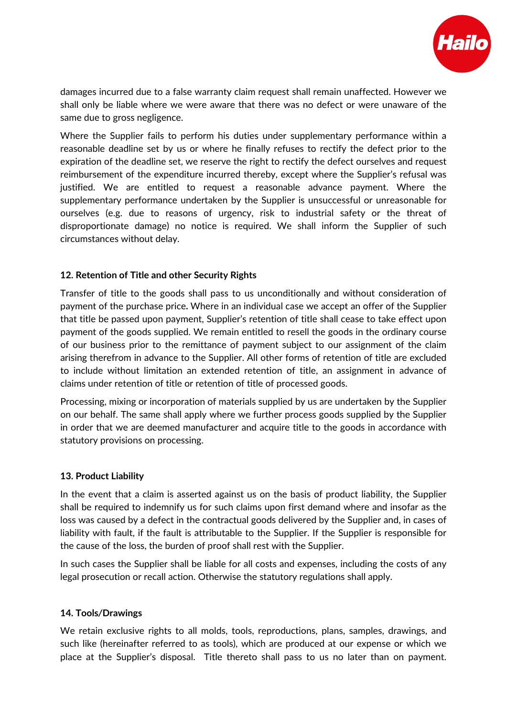

damages incurred due to a false warranty claim request shall remain unaffected. However we shall only be liable where we were aware that there was no defect or were unaware of the same due to gross negligence.

Where the Supplier fails to perform his duties under supplementary performance within a reasonable deadline set by us or where he finally refuses to rectify the defect prior to the expiration of the deadline set, we reserve the right to rectify the defect ourselves and request reimbursement of the expenditure incurred thereby, except where the Supplier's refusal was justified. We are entitled to request a reasonable advance payment. Where the supplementary performance undertaken by the Supplier is unsuccessful or unreasonable for ourselves (e.g. due to reasons of urgency, risk to industrial safety or the threat of disproportionate damage) no notice is required. We shall inform the Supplier of such circumstances without delay.

## **12. Retention of Title and other Security Rights**

Transfer of title to the goods shall pass to us unconditionally and without consideration of payment of the purchase price**.** Where in an individual case we accept an offer of the Supplier that title be passed upon payment, Supplier's retention of title shall cease to take effect upon payment of the goods supplied. We remain entitled to resell the goods in the ordinary course of our business prior to the remittance of payment subject to our assignment of the claim arising therefrom in advance to the Supplier. All other forms of retention of title are excluded to include without limitation an extended retention of title, an assignment in advance of claims under retention of title or retention of title of processed goods.

Processing, mixing or incorporation of materials supplied by us are undertaken by the Supplier on our behalf. The same shall apply where we further process goods supplied by the Supplier in order that we are deemed manufacturer and acquire title to the goods in accordance with statutory provisions on processing.

#### **13. Product Liability**

In the event that a claim is asserted against us on the basis of product liability, the Supplier shall be required to indemnify us for such claims upon first demand where and insofar as the loss was caused by a defect in the contractual goods delivered by the Supplier and, in cases of liability with fault, if the fault is attributable to the Supplier. If the Supplier is responsible for the cause of the loss, the burden of proof shall rest with the Supplier.

In such cases the Supplier shall be liable for all costs and expenses, including the costs of any legal prosecution or recall action. Otherwise the statutory regulations shall apply.

#### **14. Tools***/***Drawings**

We retain exclusive rights to all molds, tools, reproductions, plans, samples, drawings, and such like (hereinafter referred to as tools), which are produced at our expense or which we place at the Supplier's disposal. Title thereto shall pass to us no later than on payment.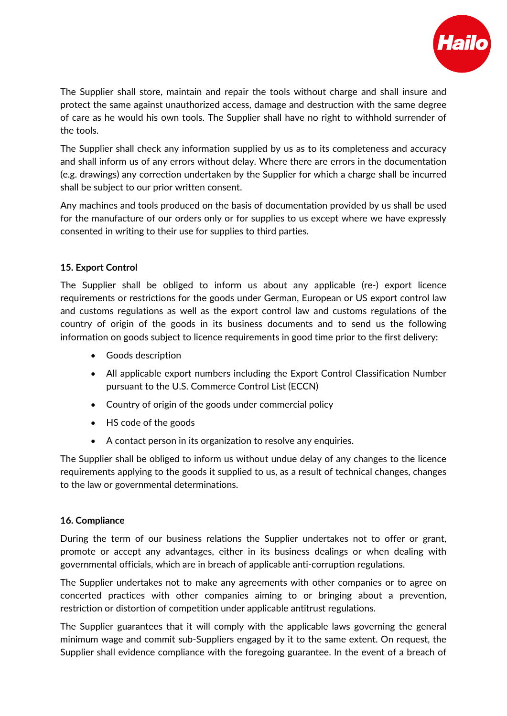

The Supplier shall store, maintain and repair the tools without charge and shall insure and protect the same against unauthorized access, damage and destruction with the same degree of care as he would his own tools. The Supplier shall have no right to withhold surrender of the tools.

The Supplier shall check any information supplied by us as to its completeness and accuracy and shall inform us of any errors without delay. Where there are errors in the documentation (e.g. drawings) any correction undertaken by the Supplier for which a charge shall be incurred shall be subject to our prior written consent.

Any machines and tools produced on the basis of documentation provided by us shall be used for the manufacture of our orders only or for supplies to us except where we have expressly consented in writing to their use for supplies to third parties.

## **15. Export Control**

The Supplier shall be obliged to inform us about any applicable (re-) export licence requirements or restrictions for the goods under German, European or US export control law and customs regulations as well as the export control law and customs regulations of the country of origin of the goods in its business documents and to send us the following information on goods subject to licence requirements in good time prior to the first delivery:

- Goods description
- All applicable export numbers including the Export Control Classification Number pursuant to the U.S. Commerce Control List (ECCN)
- Country of origin of the goods under commercial policy
- HS code of the goods
- A contact person in its organization to resolve any enquiries.

The Supplier shall be obliged to inform us without undue delay of any changes to the licence requirements applying to the goods it supplied to us, as a result of technical changes, changes to the law or governmental determinations.

## **16. Compliance**

During the term of our business relations the Supplier undertakes not to offer or grant, promote or accept any advantages, either in its business dealings or when dealing with governmental officials, which are in breach of applicable anti-corruption regulations.

The Supplier undertakes not to make any agreements with other companies or to agree on concerted practices with other companies aiming to or bringing about a prevention, restriction or distortion of competition under applicable antitrust regulations.

The Supplier guarantees that it will comply with the applicable laws governing the general minimum wage and commit sub-Suppliers engaged by it to the same extent. On request, the Supplier shall evidence compliance with the foregoing guarantee. In the event of a breach of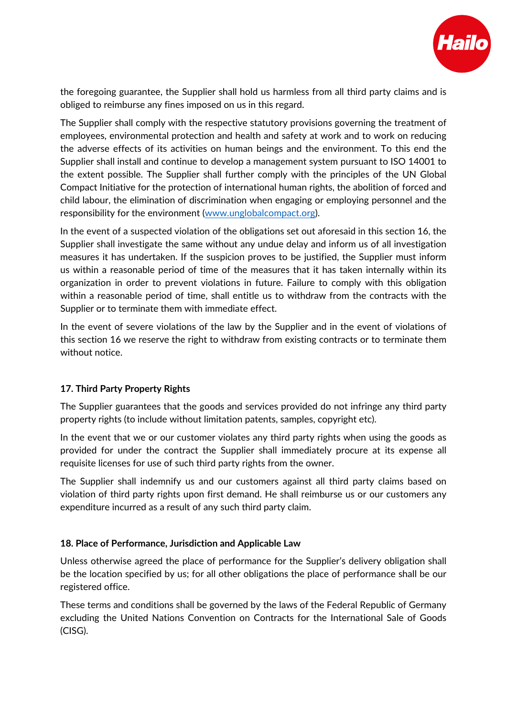

the foregoing guarantee, the Supplier shall hold us harmless from all third party claims and is obliged to reimburse any fines imposed on us in this regard.

The Supplier shall comply with the respective statutory provisions governing the treatment of employees, environmental protection and health and safety at work and to work on reducing the adverse effects of its activities on human beings and the environment. To this end the Supplier shall install and continue to develop a management system pursuant to ISO 14001 to the extent possible. The Supplier shall further comply with the principles of the UN Global Compact Initiative for the protection of international human rights, the abolition of forced and child labour, the elimination of discrimination when engaging or employing personnel and the responsibility for the environment [\(www.unglobalcompact.org\)](http://www.unglobalcompact.org/).

In the event of a suspected violation of the obligations set out aforesaid in this section 16, the Supplier shall investigate the same without any undue delay and inform us of all investigation measures it has undertaken. If the suspicion proves to be justified, the Supplier must inform us within a reasonable period of time of the measures that it has taken internally within its organization in order to prevent violations in future. Failure to comply with this obligation within a reasonable period of time, shall entitle us to withdraw from the contracts with the Supplier or to terminate them with immediate effect.

In the event of severe violations of the law by the Supplier and in the event of violations of this section 16 we reserve the right to withdraw from existing contracts or to terminate them without notice.

## **17. Third Party Property Rights**

The Supplier guarantees that the goods and services provided do not infringe any third party property rights (to include without limitation patents, samples, copyright etc).

In the event that we or our customer violates any third party rights when using the goods as provided for under the contract the Supplier shall immediately procure at its expense all requisite licenses for use of such third party rights from the owner.

The Supplier shall indemnify us and our customers against all third party claims based on violation of third party rights upon first demand. He shall reimburse us or our customers any expenditure incurred as a result of any such third party claim.

## **18. Place of Performance, Jurisdiction and Applicable Law**

Unless otherwise agreed the place of performance for the Supplier's delivery obligation shall be the location specified by us; for all other obligations the place of performance shall be our registered office.

These terms and conditions shall be governed by the laws of the Federal Republic of Germany excluding the United Nations Convention on Contracts for the International Sale of Goods (CISG).